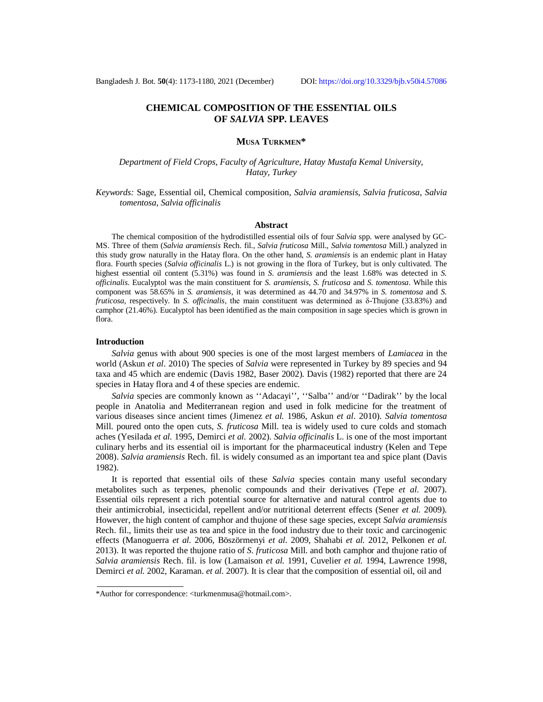# **CHEMICAL COMPOSITION OF THE ESSENTIAL OILS OF** *SALVIA* **SPP. LEAVES**

# **MUSA TURKMEN\***

*Department of Field Crops, Faculty of Agriculture, Hatay Mustafa Kemal University, Hatay, Turkey*

*Keywords:* Sage, Essential oil, Chemical composition, *Salvia aramiensis*, *Salvia fruticosa*, *Salvia tomentosa*, *Salvia officinalis*

### **Abstract**

The chemical composition of the hydrodistilled essential oils of four *Salvia* spp. were analysed by GC-MS. Three of them (*Salvia aramiensis* Rech. fil., *Salvia fruticosa* Mill., *Salvia tomentosa* Mill.) analyzed in this study grow naturally in the Hatay flora. On the other hand, *S. aramiensis* is an endemic plant in Hatay flora. Fourth species (*Salvia officinalis* L.) is not growing in the flora of Turkey, but is only cultivated. The highest essential oil content (5.31%) was found in *S. aramiensis* and the least 1.68% was detected in *S. officinalis*. Eucalyptol was the main constituent for *S. aramiensis*, *S. fruticosa* and *S. tomentosa*. While this component was 58.65% in *S. aramiensis*, it was determined as 44.70 and 34.97% in *S. tomentosa* and *S. fruticosa*, respectively. In *S. officinalis*, the main constituent was determined as δ-Thujone (33.83%) and camphor (21.46%). Eucalyptol has been identified as the main composition in sage species which is grown in flora.

# **Introduction**

*Salvia* genus with about 900 species is one of the most largest members of *Lamiacea* in the world (Askun *et al*. 2010) The species of *Salvia* were represented in Turkey by 89 species and 94 taxa and 45 which are endemic (Davis 1982, Baser 2002). Davis (1982) reported that there are 24 species in Hatay flora and 4 of these species are endemic.

*Salvia* species are commonly known as ''Adacayi'', ''Salba'' and/or ''Dadirak'' by the local people in Anatolia and Mediterranean region and used in folk medicine for the treatment of various diseases since ancient times (Jimenez *et al.* 1986, Askun *et al*. 2010). *Salvia tomentosa* Mill. poured onto the open cuts, *S. fruticosa* Mill. tea is widely used to cure colds and stomach aches (Yesilada *et al.* 1995, Demirci *et al.* 2002). *Salvia officinalis* L. is one of the most important culinary herbs and its essential oil is important for the pharmaceutical industry (Kelen and Tepe 2008). *Salvia aramiensis* Rech. fil. is widely consumed as an important tea and spice plant (Davis 1982).

It is reported that essential oils of these *Salvia* species contain many useful secondary metabolites such as terpenes, phenolic compounds and their derivatives (Tepe *et al.* 2007). Essential oils represent a rich potential source for alternative and natural control agents due to their antimicrobial, insecticidal, repellent and/or nutritional deterrent effects (Sener *et al.* 2009). However, the high content of camphor and thujone of these sage species, except *Salvia aramiensis* Rech. fil., limits their use as tea and spice in the food industry due to their toxic and carcinogenic effects (Manoguerra *et al.* 2006, Böszörmenyi *et al.* 2009, Shahabi *et al.* 2012, Pelkonen *et al.* 2013). It was reported the thujone ratio of *S. fruticosa* Mill. and both camphor and thujone ratio of *Salvia aramiensis* Rech. fil. is low (Lamaison *et al.* 1991, Cuvelier *et al.* 1994, Lawrence 1998, Demirci *et al.* 2002, Karaman. *et al.* 2007). It is clear that the composition of essential oil, oil and

<sup>\*</sup>Author for correspondence: [<turkmenmusa@hotmail.com>](mailto:turkmenmusa@hotmail.com).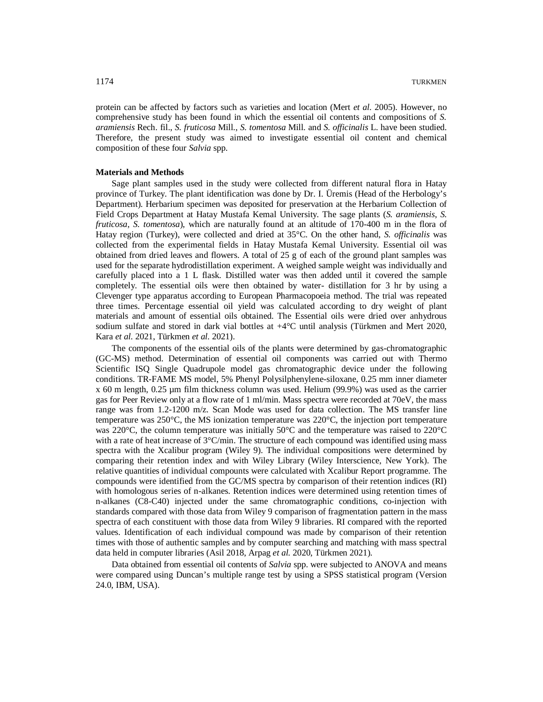protein can be affected by factors such as varieties and location (Mert *et al.* 2005). However, no comprehensive study has been found in which the essential oil contents and compositions of *S. aramiensis* Rech. fil., *S. fruticosa* Mill., *S. tomentosa* Mill. and *S. officinalis* L. have been studied. Therefore, the present study was aimed to investigate essential oil content and chemical composition of these four *Salvia* spp.

# **Materials and Methods**

Sage plant samples used in the study were collected from different natural flora in Hatay province of Turkey. The plant identification was done by Dr. I. Üremis (Head of the Herbology's Department). Herbarium specimen was deposited for preservation at the Herbarium Collection of Field Crops Department at Hatay Mustafa Kemal University. The sage plants (*S. aramiensis*, *S. fruticosa*, *S. tomentosa*), which are naturally found at an altitude of 170-400 m in the flora of Hatay region (Turkey), were collected and dried at 35°C. On the other hand, *S. officinalis* was collected from the experimental fields in Hatay Mustafa Kemal University. Essential oil was obtained from dried leaves and flowers. A total of 25 g of each of the ground plant samples was used for the separate hydrodistillation experiment. A weighed sample weight was individually and carefully placed into a 1 L flask. Distilled water was then added until it covered the sample completely. The essential oils were then obtained by water- distillation for 3 hr by using a Clevenger type apparatus according to European Pharmacopoeia method. The trial was repeated three times. Percentage essential oil yield was calculated according to dry weight of plant materials and amount of essential oils obtained. The Essential oils were dried over anhydrous sodium sulfate and stored in dark vial bottles at +4°C until analysis (Türkmen and Mert 2020, Kara *et al.* 2021, Türkmen *et al.* 2021).

The components of the essential oils of the plants were determined by gas-chromatographic (GC-MS) method. Determination of essential oil components was carried out with Thermo Scientific ISQ Single Quadrupole model gas chromatographic device under the following conditions. TR-FAME MS model, 5% Phenyl Polysilphenylene-siloxane, 0.25 mm inner diameter x 60 m length, 0.25 µm film thickness column was used. Helium (99.9%) was used as the carrier gas for Peer Review only at a flow rate of 1 ml/min. Mass spectra were recorded at 70eV, the mass range was from 1.2-1200 m/z. Scan Mode was used for data collection. The MS transfer line temperature was  $250^{\circ}$ C, the MS ionization temperature was  $220^{\circ}$ C, the injection port temperature was 220 $^{\circ}$ C, the column temperature was initially 50 $^{\circ}$ C and the temperature was raised to 220 $^{\circ}$ C with a rate of heat increase of  $3^{\circ}$ C/min. The structure of each compound was identified using mass spectra with the Xcalibur program (Wiley 9). The individual compositions were determined by comparing their retention index and with Wiley Library (Wiley Interscience, New York). The relative quantities of individual compounts were calculated with Xcalibur Report programme. The compounds were identified from the GC/MS spectra by comparison of their retention indices (RI) with homologous series of n-alkanes. Retention indices were determined using retention times of n-alkanes (C8-C40) injected under the same chromatographic conditions, co-injection with standards compared with those data from Wiley 9 comparison of fragmentation pattern in the mass spectra of each constituent with those data from Wiley 9 libraries. RI compared with the reported values. Identification of each individual compound was made by comparison of their retention times with those of authentic samples and by computer searching and matching with mass spectral data held in computer libraries (Asil 2018, Arpag *et al.* 2020, Türkmen 2021).

Data obtained from essential oil contents of *Salvia* spp. were subjected to ANOVA and means were compared using Duncan's multiple range test by using a SPSS statistical program (Version 24.0, IBM, USA).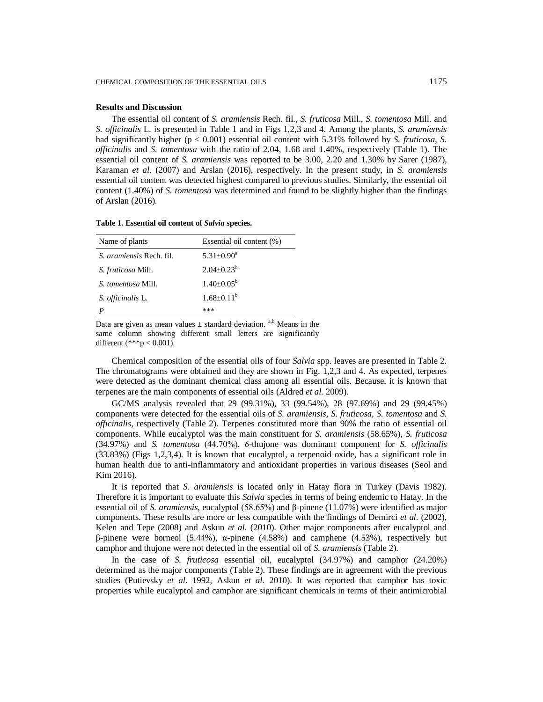# **Results and Discussion**

The essential oil content of *S. aramiensis* Rech. fil., *S. fruticosa* Mill., *S. tomentosa* Mill. and *S. officinalis* L. is presented in Table 1 and in Figs 1,2,3 and 4. Among the plants, *S. aramiensis* had significantly higher (p < 0.001) essential oil content with 5.31% followed by *S. fruticosa, S. officinalis* and *S. tomentosa* with the ratio of 2.04, 1.68 and 1.40%, respectively (Table 1). The essential oil content of *S. aramiensis* was reported to be 3.00, 2.20 and 1.30% by Sarer (1987), Karaman *et al.* (2007) and Arslan (2016), respectively. In the present study, in *S. aramiensis* essential oil content was detected highest compared to previous studies. Similarly, the essential oil content (1.40%) of *S. tomentosa* was determined and found to be slightly higher than the findings of Arslan (2016).

**Table 1. Essential oil content of** *Salvia* **species.**

| Name of plants                  | Essential oil content (%) |
|---------------------------------|---------------------------|
| <i>S. aramiensis</i> Rech. fil. | $5.31 + 0.90^a$           |
| <i>S. fruticosa Mill.</i>       | $2.04 \pm 0.23^b$         |
| <i>S. tomentosa</i> Mill.       | $1.40 \pm 0.05^{\rm b}$   |
| S. officinalis L.               | $1.68 + 0.11^b$           |
|                                 | ***                       |

Data are given as mean values  $\pm$  standard deviation. <sup>a,b</sup> Means in the same column showing different small letters are significantly different (\*\*\*p < 0.001).

Chemical composition of the essential oils of four *Salvia* spp. leaves are presented in Table 2. The chromatograms were obtained and they are shown in Fig. 1,2,3 and 4. As expected, terpenes were detected as the dominant chemical class among all essential oils. Because, it is known that terpenes are the main components of essential oils (Aldred *et al.* 2009).

GC/MS analysis revealed that 29 (99.31%), 33 (99.54%), 28 (97.69%) and 29 (99.45%) components were detected for the essential oils of *S. aramiensis*, *S. fruticosa, S. tomentosa* and *S. officinalis*, respectively (Table 2). Terpenes constituted more than 90% the ratio of essential oil components. While eucalyptol was the main constituent for *S. aramiensis* (58.65%), *S. fruticosa*  (34.97%) and *S. tomentosa* (44.70%), δ-thujone was dominant component for *S. officinalis* (33.83%) (Figs 1,2,3,4). It is known that eucalyptol, a terpenoid oxide, has a significant role in human health due to anti-inflammatory and antioxidant properties in various diseases (Seol and Kim 2016).

It is reported that *S. aramiensis* is located only in Hatay flora in Turkey (Davis 1982). Therefore it is important to evaluate this *Salvia* species in terms of being endemic to Hatay. In the essential oil of *S. aramiensis*, eucalyptol (58.65%) and β-pinene (11.07%) were identified as major components. These results are more or less compatible with the findings of Demirci *et al.* (2002), Kelen and Tepe (2008) and Askun *et al*. (2010). Other major components after eucalyptol and β-pinene were borneol (5.44%), α-pinene (4.58%) and camphene (4.53%), respectively but camphor and thujone were not detected in the essential oil of *S. aramiensis* (Table 2)*.*

In the case of *S. fruticosa* essential oil, eucalyptol (34.97%) and camphor (24.20%) determined as the major components (Table 2). These findings are in agreement with the previous studies (Putievsky *et al.* 1992, Askun *et al*. 2010). It was reported that camphor has toxic properties while eucalyptol and camphor are significant chemicals in terms of their antimicrobial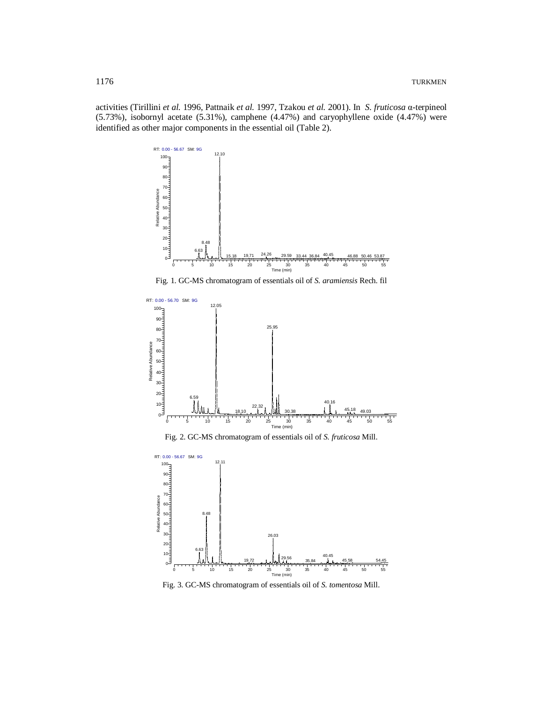activities (Tirillini *et al.* 1996, Pattnaik *et al.* 1997, Tzakou *et al.* 2001). In *S. fruticosa* α-terpineol (5.73%), isobornyl acetate (5.31%), camphene (4.47%) and caryophyllene oxide (4.47%) were identified as other major components in the essential oil (Table 2).



Fig. 1. GC-MS chromatogram of essentials oil of *S. aramiensis* Rech. fil







Fig. 3. GC-MS chromatogram of essentials oil of *S. tomentosa* Mill.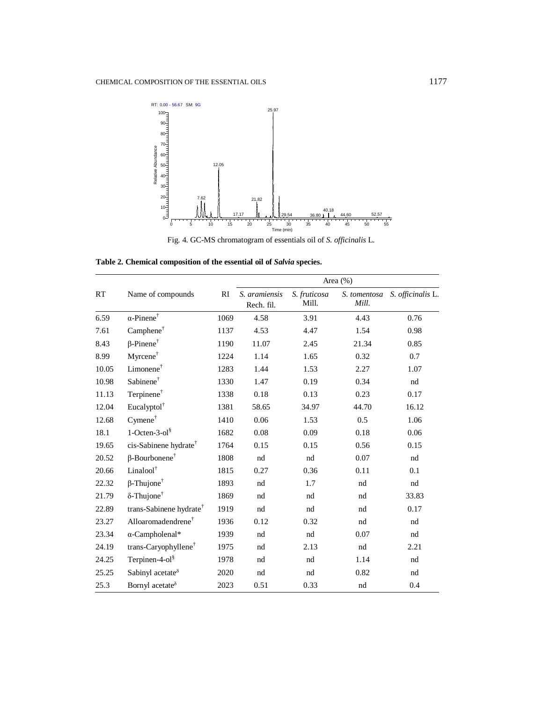



**Table 2. Chemical composition of the essential oil of** *Salvia* **species.**

| RT    | Name of compounds                   | RI   | Area $(\%)$                 |                       |                       |                   |
|-------|-------------------------------------|------|-----------------------------|-----------------------|-----------------------|-------------------|
|       |                                     |      | S. aramiensis<br>Rech. fil. | S. fruticosa<br>Mill. | S. tomentosa<br>Mill. | S. officinalis L. |
| 6.59  | $\alpha$ -Pinene <sup>†</sup>       | 1069 | 4.58                        | 3.91                  | 4.43                  | 0.76              |
| 7.61  | Camphene <sup>†</sup>               | 1137 | 4.53                        | 4.47                  | 1.54                  | 0.98              |
| 8.43  | $\beta$ -Pinene <sup>†</sup>        | 1190 | 11.07                       | 2.45                  | 21.34                 | 0.85              |
| 8.99  | Myrcene <sup>†</sup>                | 1224 | 1.14                        | 1.65                  | 0.32                  | 0.7               |
| 10.05 | Limonene <sup>†</sup>               | 1283 | 1.44                        | 1.53                  | 2.27                  | 1.07              |
| 10.98 | Sabinene <sup>†</sup>               | 1330 | 1.47                        | 0.19                  | 0.34                  | nd                |
| 11.13 | Terpinene <sup>†</sup>              | 1338 | 0.18                        | 0.13                  | 0.23                  | 0.17              |
| 12.04 | Eucalyptol <sup>†</sup>             | 1381 | 58.65                       | 34.97                 | 44.70                 | 16.12             |
| 12.68 | $Cymene^{\dagger}$                  | 1410 | 0.06                        | 1.53                  | 0.5                   | 1.06              |
| 18.1  | $1$ -Octen-3-ol $\frac{8}{3}$       | 1682 | 0.08                        | 0.09                  | 0.18                  | 0.06              |
| 19.65 | cis-Sabinene hydrate <sup>†</sup>   | 1764 | 0.15                        | 0.15                  | 0.56                  | 0.15              |
| 20.52 | $\beta$ -Bourbonene <sup>†</sup>    | 1808 | nd                          | nd                    | 0.07                  | nd                |
| 20.66 | Linalool <sup>†</sup>               | 1815 | 0.27                        | 0.36                  | 0.11                  | 0.1               |
| 22.32 | $\beta$ -Thujone <sup>†</sup>       | 1893 | nd                          | 1.7                   | nd                    | nd                |
| 21.79 | $\delta$ -Thujone <sup>†</sup>      | 1869 | nd                          | nd                    | nd                    | 33.83             |
| 22.89 | trans-Sabinene hydrate <sup>†</sup> | 1919 | nd                          | nd                    | nd                    | 0.17              |
| 23.27 | Alloaromadendrene <sup>†</sup>      | 1936 | 0.12                        | 0.32                  | nd                    | nd                |
| 23.34 | α-Campholenal*                      | 1939 | nd                          | nd                    | 0.07                  | $^{\rm nd}$       |
| 24.19 | trans-Caryophyllene <sup>†</sup>    | 1975 | nd                          | 2.13                  | nd                    | 2.21              |
| 24.25 | Terpinen-4-ol <sup>§</sup>          | 1978 | nd                          | nd                    | 1.14                  | nd                |
| 25.25 | Sabinyl acetate $\delta$            | 2020 | nd                          | nd                    | 0.82                  | nd                |
| 25.3  | Bornyl acetate <sup>3</sup>         | 2023 | 0.51                        | 0.33                  | nd                    | 0.4               |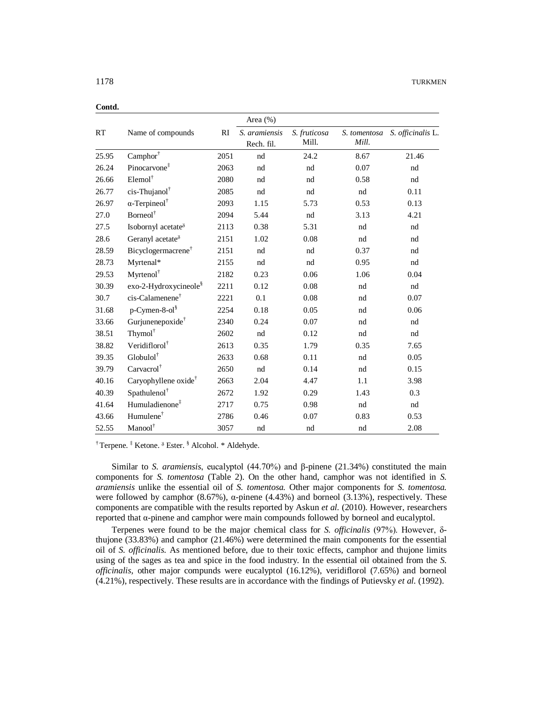|       |                                   |      | Area (%)                    |                       |                       |                   |
|-------|-----------------------------------|------|-----------------------------|-----------------------|-----------------------|-------------------|
| RT    | Name of compounds                 | RI   | S. aramiensis<br>Rech. fil. | S. fruticosa<br>Mill. | S. tomentosa<br>Mill. | S. officinalis L. |
| 25.95 | $\text{Camphor}^\dagger$          | 2051 | nd                          | 24.2                  | 8.67                  | 21.46             |
| 26.24 | Pinocarvone <sup>‡</sup>          | 2063 | nd                          | nd                    | 0.07                  | nd                |
| 26.66 | $Element$ <sup>†</sup>            | 2080 | nd                          | nd                    | 0.58                  | nd                |
| 26.77 | cis-Thujanol <sup>†</sup>         | 2085 | nd                          | nd                    | nd                    | 0.11              |
| 26.97 | $\alpha$ -Terpineol <sup>†</sup>  | 2093 | 1.15                        | 5.73                  | 0.53                  | 0.13              |
| 27.0  | Borneol <sup>†</sup>              | 2094 | 5.44                        | nd                    | 3.13                  | 4.21              |
| 27.5  | Isobornyl acetate <sup>3</sup>    | 2113 | 0.38                        | 5.31                  | nd                    | nd                |
| 28.6  | Geranyl acetate $\delta$          | 2151 | 1.02                        | 0.08                  | nd                    | nd                |
| 28.59 | Bicyclogermacrene <sup>†</sup>    | 2151 | nd                          | nd                    | 0.37                  | nd                |
| 28.73 | Myrtenal*                         | 2155 | nd                          | nd                    | 0.95                  | nd                |
| 29.53 | Myrtenol <sup>†</sup>             | 2182 | 0.23                        | 0.06                  | 1.06                  | 0.04              |
| 30.39 | exo-2-Hydroxycineole <sup>§</sup> | 2211 | 0.12                        | 0.08                  | nd                    | nd                |
| 30.7  | cis-Calamenene <sup>†</sup>       | 2221 | 0.1                         | 0.08                  | nd                    | 0.07              |
| 31.68 | $p$ -Cymen-8-ol $\frac{8}{3}$     | 2254 | 0.18                        | 0.05                  | nd                    | 0.06              |
| 33.66 | Gurjunenepoxide <sup>†</sup>      | 2340 | 0.24                        | 0.07                  | nd                    | nd                |
| 38.51 | Thymol <sup>†</sup>               | 2602 | nd                          | 0.12                  | nd                    | nd                |
| 38.82 | Veridiflorol <sup>†</sup>         | 2613 | 0.35                        | 1.79                  | 0.35                  | 7.65              |
| 39.35 | $Global^{\dagger}$                | 2633 | 0.68                        | 0.11                  | nd                    | 0.05              |
| 39.79 | Carvacrol <sup>†</sup>            | 2650 | nd                          | 0.14                  | nd                    | 0.15              |
| 40.16 | Caryophyllene oxide <sup>†</sup>  | 2663 | 2.04                        | 4.47                  | 1.1                   | 3.98              |
| 40.39 | Spathulenol <sup>†</sup>          | 2672 | 1.92                        | 0.29                  | 1.43                  | 0.3               |
| 41.64 | Humuladienone <sup>‡</sup>        | 2717 | 0.75                        | 0.98                  | nd                    | nd                |
| 43.66 | Humulene <sup>†</sup>             | 2786 | 0.46                        | 0.07                  | 0.83                  | 0.53              |
| 52.55 | Manool <sup>†</sup>               | 3057 | nd                          | nd                    | nd                    | 2.08              |

**Contd.**

† Terpene. ‡ Ketone. <sup>ᵹ</sup> Ester. § Alcohol. \* Aldehyde.

Similar to *S. aramiensis*, eucalyptol (44.70%) and β-pinene (21.34%) constituted the main components for *S. tomentosa* (Table 2). On the other hand, camphor was not identified in *S. aramiensis* unlike the essential oil of *S. tomentosa.* Other major components for *S. tomentosa.*  were followed by camphor  $(8.67%)$ ,  $\alpha$ -pinene  $(4.43%)$  and borneol  $(3.13%)$ , respectively. These components are compatible with the results reported by Askun *et al.* (2010). However, researchers reported that α-pinene and camphor were main compounds followed by borneol and eucalyptol.

Terpenes were found to be the major chemical class for *S. officinalis* (97%). However, δthujone (33.83%) and camphor (21.46%) were determined the main components for the essential oil of *S. officinalis.* As mentioned before, due to their toxic effects, camphor and thujone limits using of the sages as tea and spice in the food industry. In the essential oil obtained from the *S. officinalis,* other major compunds were eucalyptol (16.12%), veridiflorol (7.65%) and borneol (4.21%), respectively. These results are in accordance with the findings of Putievsky *et al.* (1992).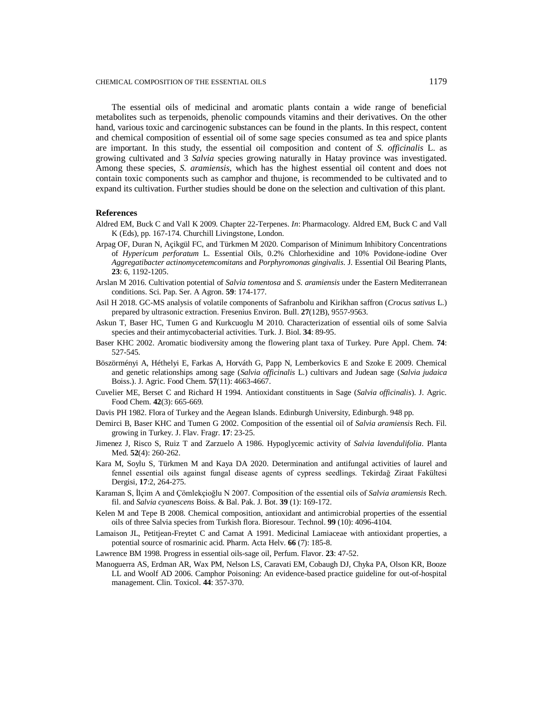The essential oils of medicinal and aromatic plants contain a wide range of beneficial metabolites such as terpenoids, phenolic compounds vitamins and their derivatives. On the other hand, various toxic and carcinogenic substances can be found in the plants. In this respect, content and chemical composition of essential oil of some sage species consumed as tea and spice plants are important. In this study, the essential oil composition and content of *S. officinalis* L. as growing cultivated and 3 *Salvia* species growing naturally in Hatay province was investigated. Among these species, *S. aramiensis*, which has the highest essential oil content and does not contain toxic components such as camphor and thujone, is recommended to be cultivated and to expand its cultivation. Further studies should be done on the selection and cultivation of this plant.

# **References**

- Aldred EM, Buck C and Vall K 2009. Chapter 22-Terpenes. *In*: Pharmacology. Aldred EM, Buck C and Vall K (Eds), pp. 167-174. Churchill Livingstone, London.
- Arpag OF, Duran N, Açikgül FC, and Türkmen M 2020. Comparison of Minimum Inhibitory Concentrations of *Hypericum perforatum* L. Essential Oils, 0.2% Chlorhexidine and 10% Povidone-iodine Over *Aggregatibacter actinomycetemcomitans* and *Porphyromonas gingivalis*. J. Essential Oil Bearing Plants, **23**: 6, 1192-1205.
- Arslan M 2016. Cultivation potential of *Salvia tomentosa* and *S. aramiensis* under the Eastern Mediterranean conditions. Sci. Pap. Ser. A Agron. **59**: 174-177.
- Asil H 2018. GC-MS analysis of volatile components of Safranbolu and Kirikhan saffron (*Crocus sativus* L.) prepared by ultrasonic extraction. Fresenius Environ. Bull. **27**(12B), 9557-9563.
- Askun T, Baser HC, Tumen G and Kurkcuoglu M 2010. Characterization of essential oils of some Salvia species and their antimycobacterial activities. Turk. J. Biol. **34**: 89-95.
- Baser KHC 2002. Aromatic biodiversity among the flowering plant taxa of Turkey. Pure Appl. Chem. **74**: 527-545.
- Böszörményi A, Héthelyi E, Farkas A, Horváth G, Papp N, Lemberkovics E and Szoke E 2009. Chemical and genetic relationships among sage (*Salvia officinalis* L.) cultivars and Judean sage (*Salvia judaica* Boiss.). J. Agric. Food Chem. **57**(11): 4663-4667.
- Cuvelier ME, Berset C and Richard H 1994. Antioxidant constituents in Sage (*Salvia officinalis*). J. Agric. Food Chem. **42**(3): 665-669.
- Davis PH 1982. Flora of Turkey and the Aegean Islands. Edinburgh University, Edinburgh. 948 pp.
- Demirci B, Baser KHC and Tumen G 2002. Composition of the essential oil of *Salvia aramiensis* Rech. Fil. growing in Turkey. J. Flav. Fragr. **17**: 23-25.
- Jimenez J, Risco S, Ruiz T and Zarzuelo A 1986. Hypoglycemic activity of *Salvia lavendulifolia*. Planta Med. **52**(4): 260-262.
- Kara M, Soylu S, Türkmen M and Kaya DA 2020. Determination and antifungal activities of laurel and fennel essential oils against fungal disease agents of cypress seedlings. Tekirdağ Ziraat Fakültesi Dergisi, **17**:2, 264-275.
- Karaman S, İlçim A and Çömlekçioğlu N 2007. Composition of the essential oils of *Salvia aramiensis* Rech. fil. and *Salvia cyanescens* Boiss. & Bal. Pak. J. Bot. **39** (1): 169-172.
- Kelen M and Tepe B 2008. Chemical composition, antioxidant and antimicrobial properties of the essential oils of three Salvia species from Turkish flora. Bioresour. Technol. **99** (10): 4096-4104.
- Lamaison JL, Petitjean-Freytet C and Carnat A 1991. Medicinal Lamiaceae with antioxidant properties, a potential source of rosmarinic acid. Pharm. Acta Helv. **66** (7): 185-8.
- Lawrence BM 1998. Progress in essential oils-sage oil, Perfum. Flavor. **23**: 47-52.
- Manoguerra AS, Erdman AR, Wax PM, Nelson LS, Caravati EM, Cobaugh DJ, Chyka PA, Olson KR, Booze LL and Woolf AD 2006. Camphor Poisoning: An evidence-based practice guideline for out-of-hospital management. Clin. Toxicol. **44**: 357-370.